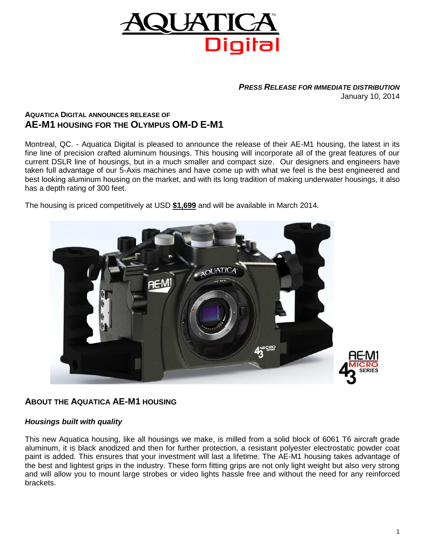

#### *PRESS RELEASE FOR IMMEDIATE DISTRIBUTION* January 10, 2014

# **AQUATICA DIGITAL ANNOUNCES RELEASE OF AE-M1 HOUSING FOR THE OLYMPUS OM-D E-M1**

Montreal, QC. - Aquatica Digital is pleased to announce the release of their AE-M1 housing, the latest in its fine line of precision crafted aluminum housings. This housing will incorporate all of the great features of our current DSLR line of housings, but in a much smaller and compact size. Our designers and engineers have taken full advantage of our 5-Axis machines and have come up with what we feel is the best engineered and best looking aluminum housing on the market, and with its long tradition of making underwater housings, it also has a depth rating of 300 feet.

The housing is priced competitively at USD **\$1,699** and will be available in March 2014.



# **ABOUT THE AQUATICA AE-M1 HOUSING**

### *Housings built with quality*

This new Aquatica housing, like all housings we make, is milled from a solid block of 6061 T6 aircraft grade aluminum, it is black anodized and then for further protection, a resistant polyester electrostatic powder coat paint is added. This ensures that your investment will last a lifetime. The AE-M1 housing takes advantage of the best and lightest grips in the industry. These form fitting grips are not only light weight but also very strong and will allow you to mount large strobes or video lights hassle free and without the need for any reinforced brackets.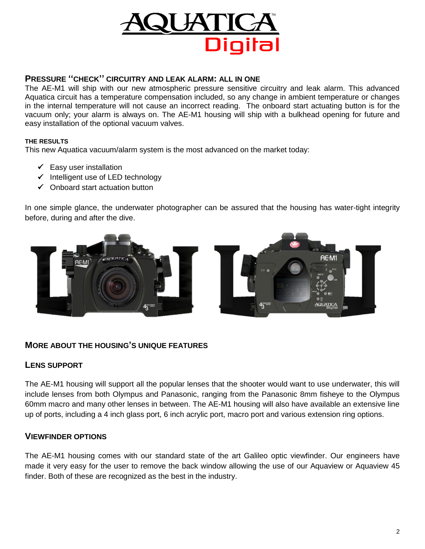

# **PRESSURE ''CHECK'' CIRCUITRY AND LEAK ALARM: ALL IN ONE**

The AE-M1 will ship with our new atmospheric pressure sensitive circuitry and leak alarm. This advanced Aquatica circuit has a temperature compensation included, so any change in ambient temperature or changes in the internal temperature will not cause an incorrect reading. The onboard start actuating button is for the vacuum only; your alarm is always on. The AE-M1 housing will ship with a bulkhead opening for future and easy installation of the optional vacuum valves.

#### **THE RESULTS**

This new Aquatica vacuum/alarm system is the most advanced on the market today:

- $\checkmark$  Easy user installation
- $\checkmark$  Intelligent use of LED technology
- $\checkmark$  Onboard start actuation button

In one simple glance, the underwater photographer can be assured that the housing has water-tight integrity before, during and after the dive.



### **MORE ABOUT THE HOUSING'S UNIQUE FEATURES**

### **LENS SUPPORT**

The AE-M1 housing will support all the popular lenses that the shooter would want to use underwater, this will include lenses from both Olympus and Panasonic, ranging from the Panasonic 8mm fisheye to the Olympus 60mm macro and many other lenses in between. The AE-M1 housing will also have available an extensive line up of ports, including a 4 inch glass port, 6 inch acrylic port, macro port and various extension ring options.

### **VIEWFINDER OPTIONS**

The AE-M1 housing comes with our standard state of the art Galileo optic viewfinder. Our engineers have made it very easy for the user to remove the back window allowing the use of our Aquaview or Aquaview 45 finder. Both of these are recognized as the best in the industry.